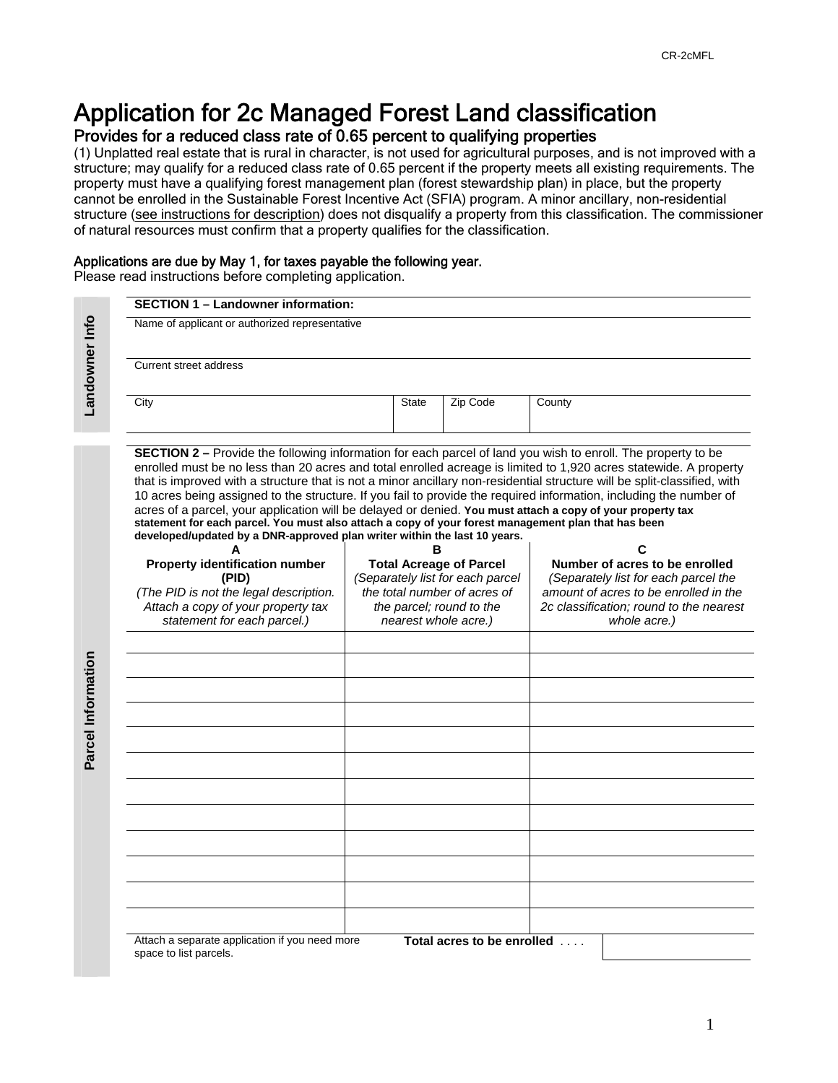## Application for 2c Managed Forest Land classification

### Provides for a reduced class rate of 0.65 percent to qualifying properties

(1) Unplatted real estate that is rural in character, is not used for agricultural purposes, and is not improved with a structure; may qualify for a reduced class rate of 0.65 percent if the property meets all existing requirements. The property must have a qualifying forest management plan (forest stewardship plan) in place, but the property cannot be enrolled in the Sustainable Forest Incentive Act (SFIA) program. A minor ancillary, non-residential structure (see instructions for description) does not disqualify a property from this classification. The commissioner of natural resources must confirm that a property qualifies for the classification.

#### Applications are due by May 1, for taxes payable the following year.

Please read instructions before completing application.

|  | <b>SECTION 1 - Landowner information:</b><br>Name of applicant or authorized representative<br>Current street address                                                                                                                                                                                                                                                                                                                                                                                                                                                                                                                                                                                                                                                                        |  |                                     |                                  |                                         |  |  |
|--|----------------------------------------------------------------------------------------------------------------------------------------------------------------------------------------------------------------------------------------------------------------------------------------------------------------------------------------------------------------------------------------------------------------------------------------------------------------------------------------------------------------------------------------------------------------------------------------------------------------------------------------------------------------------------------------------------------------------------------------------------------------------------------------------|--|-------------------------------------|----------------------------------|-----------------------------------------|--|--|
|  |                                                                                                                                                                                                                                                                                                                                                                                                                                                                                                                                                                                                                                                                                                                                                                                              |  |                                     |                                  |                                         |  |  |
|  |                                                                                                                                                                                                                                                                                                                                                                                                                                                                                                                                                                                                                                                                                                                                                                                              |  |                                     |                                  |                                         |  |  |
|  | City                                                                                                                                                                                                                                                                                                                                                                                                                                                                                                                                                                                                                                                                                                                                                                                         |  | <b>State</b>                        | Zip Code                         | County                                  |  |  |
|  | <b>SECTION 2 –</b> Provide the following information for each parcel of land you wish to enroll. The property to be<br>enrolled must be no less than 20 acres and total enrolled acreage is limited to 1,920 acres statewide. A property<br>that is improved with a structure that is not a minor ancillary non-residential structure will be split-classified, with<br>10 acres being assigned to the structure. If you fail to provide the required information, including the number of<br>acres of a parcel, your application will be delayed or denied. You must attach a copy of your property tax<br>statement for each parcel. You must also attach a copy of your forest management plan that has been<br>developed/updated by a DNR-approved plan writer within the last 10 years. |  |                                     |                                  |                                         |  |  |
|  | <b>Property identification number</b>                                                                                                                                                                                                                                                                                                                                                                                                                                                                                                                                                                                                                                                                                                                                                        |  | в<br><b>Total Acreage of Parcel</b> |                                  | С<br>Number of acres to be enrolled     |  |  |
|  | (PID)                                                                                                                                                                                                                                                                                                                                                                                                                                                                                                                                                                                                                                                                                                                                                                                        |  |                                     | (Separately list for each parcel | (Separately list for each parcel the    |  |  |
|  | (The PID is not the legal description.                                                                                                                                                                                                                                                                                                                                                                                                                                                                                                                                                                                                                                                                                                                                                       |  |                                     | the total number of acres of     | amount of acres to be enrolled in the   |  |  |
|  | Attach a copy of your property tax                                                                                                                                                                                                                                                                                                                                                                                                                                                                                                                                                                                                                                                                                                                                                           |  | the parcel; round to the            |                                  | 2c classification; round to the nearest |  |  |
|  | statement for each parcel.)                                                                                                                                                                                                                                                                                                                                                                                                                                                                                                                                                                                                                                                                                                                                                                  |  | nearest whole acre.)                |                                  | whole acre.)                            |  |  |
|  |                                                                                                                                                                                                                                                                                                                                                                                                                                                                                                                                                                                                                                                                                                                                                                                              |  |                                     |                                  |                                         |  |  |
|  |                                                                                                                                                                                                                                                                                                                                                                                                                                                                                                                                                                                                                                                                                                                                                                                              |  |                                     |                                  |                                         |  |  |
|  |                                                                                                                                                                                                                                                                                                                                                                                                                                                                                                                                                                                                                                                                                                                                                                                              |  |                                     |                                  |                                         |  |  |
|  |                                                                                                                                                                                                                                                                                                                                                                                                                                                                                                                                                                                                                                                                                                                                                                                              |  |                                     |                                  |                                         |  |  |
|  |                                                                                                                                                                                                                                                                                                                                                                                                                                                                                                                                                                                                                                                                                                                                                                                              |  |                                     |                                  |                                         |  |  |
|  |                                                                                                                                                                                                                                                                                                                                                                                                                                                                                                                                                                                                                                                                                                                                                                                              |  |                                     |                                  |                                         |  |  |
|  |                                                                                                                                                                                                                                                                                                                                                                                                                                                                                                                                                                                                                                                                                                                                                                                              |  |                                     |                                  |                                         |  |  |
|  |                                                                                                                                                                                                                                                                                                                                                                                                                                                                                                                                                                                                                                                                                                                                                                                              |  |                                     |                                  |                                         |  |  |
|  |                                                                                                                                                                                                                                                                                                                                                                                                                                                                                                                                                                                                                                                                                                                                                                                              |  |                                     |                                  |                                         |  |  |
|  |                                                                                                                                                                                                                                                                                                                                                                                                                                                                                                                                                                                                                                                                                                                                                                                              |  |                                     |                                  |                                         |  |  |
|  |                                                                                                                                                                                                                                                                                                                                                                                                                                                                                                                                                                                                                                                                                                                                                                                              |  |                                     |                                  |                                         |  |  |
|  |                                                                                                                                                                                                                                                                                                                                                                                                                                                                                                                                                                                                                                                                                                                                                                                              |  |                                     |                                  |                                         |  |  |
|  | Attach a separate application if you need more                                                                                                                                                                                                                                                                                                                                                                                                                                                                                                                                                                                                                                                                                                                                               |  |                                     | Total acres to be enrolled       |                                         |  |  |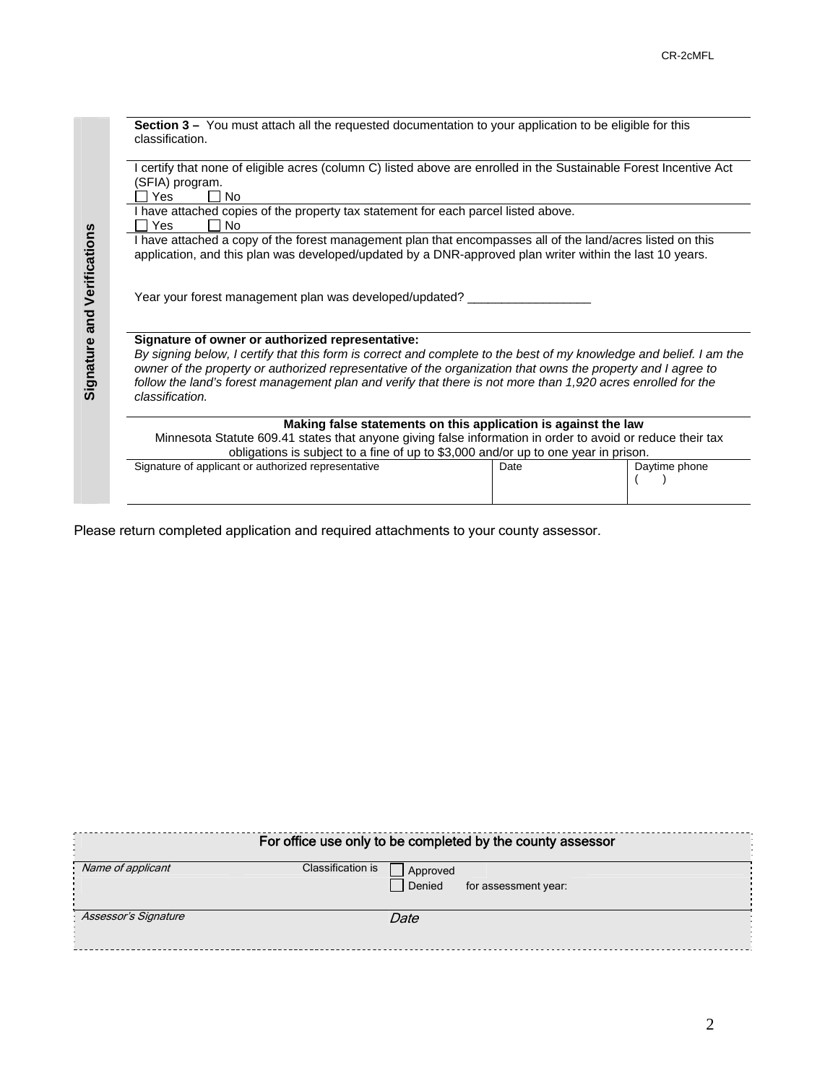**Section 3 –** You must attach all the requested documentation to your application to be eligible for this classification. I certify that none of eligible acres (column C) listed above are enrolled in the Sustainable Forest Incentive Act  $(SFIA)$  program.<br>  $\Box$  Yes  $\Box$  $\Box$  No I have attached copies of the property tax statement for each parcel listed above.<br> $\Box$  Yes  $\Box$  No  $\Box$  No I have attached a copy of the forest management plan that encompasses all of the land/acres listed on this application, and this plan was developed/updated by a DNR-approved plan writer within the last 10 years. Year your forest management plan was developed/updated? **Signature of owner or authorized representative:**  *By signing below, I certify that this form is correct and complete to the best of my knowledge and belief. I am the owner of the property or authorized representative of the organization that owns the property and I agree to*  follow the land's forest management plan and verify that there is not more than 1,920 acres enrolled for the *classification.*  **Making false statements on this application is against the law**  Minnesota Statute 609.41 states that anyone giving false information in order to avoid or reduce their tax obligations is subject to a fine of up to \$3,000 and/or up to one year in prison. Signature of applicant or authorized representative  $($ 

Please return completed application and required attachments to your county assessor.

| For office use only to be completed by the county assessor |                   |                      |  |  |  |  |  |  |
|------------------------------------------------------------|-------------------|----------------------|--|--|--|--|--|--|
| Name of applicant                                          | Classification is | Approved             |  |  |  |  |  |  |
|                                                            | Denied            | for assessment year: |  |  |  |  |  |  |
| Assessor's Signature                                       | Date              |                      |  |  |  |  |  |  |
|                                                            |                   |                      |  |  |  |  |  |  |
|                                                            |                   |                      |  |  |  |  |  |  |